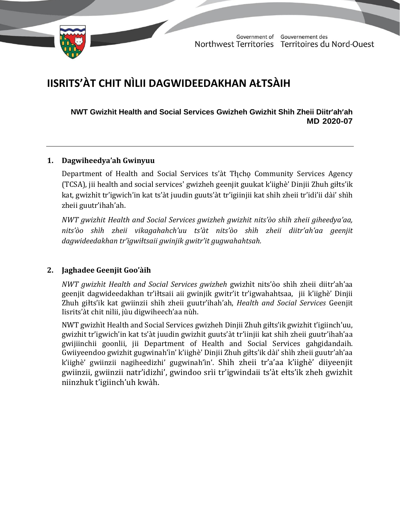

Government of Gouvernement des Northwest Territories Territoires du Nord-Ouest

# **IISRITS'ÀT CHIT NÌLII DAGWIDEEDAKHAN AŁTSÀIH**

**NWT Gwizhìt Health and Social Services Gwizheh Gwizhìt Shìh Zheii Diitr'ah'ah MD 2020-07**

#### **1. Dagwiheedya'ah Gwinyuu**

Department of Health and Social Services ts'àt Tłįcho Community Services Agency (TCSA), jii health and social services' gwizheh geenjit guukat k'iighè' Dinjii Zhuh giłts'ik kat, gwizhı̀t tr'igwich'in kat ts'àt juudin guuts'àt tr'igiinjii kat shı̀h zheii tr'idi'ii dài' shı̀h zheii guutr'ihah'ah.

*NWT gwizhit Health and Social Services gwizheh gwizhit nits'òo shìh zheii giheedya'aa, nits'òo shìh zheii vikagahahch'uu ts'àt nits'òo shìh zheii diitr'ah'aa geenjit dagwideedakhan tr'igwiłtsaii gwinjik gwitr'it gugwahahtsah.* 

## **2. Jaghadee Geenjit Goo'àih**

*NWT gwizhìt Health and Social Services gwizheh* gwizhı̀t nits'òo shı̀h zheii diitr'ah'aa geenjit dagwideedakhan tr'iłtsaii aii gwinjik gwitr'it tr'igwahahtsaa, jii k'iighè' Dinjii Zhuh giłts'ik kat gwiinzii shı̀h zheii guutr'ihah'ah, *Health and Social Services* Geenjit Iisrits'àt chit nı̀lii, jùu digwiheech'aa nùh.

NWT gwizhı̀t Health and Social Services gwizheh Dinjii Zhuh giłts'ik gwizhit t'igiinch'uu, gwizhit tr'igwich'in kat ts'àt juudin gwizhit guuts'àt tr'iinjii kat shı̀h zheii guutr'ihah'aa gwijiinchii goonlii, jii Department of Health and Social Services gahgidandaih. Gwiiyeendoo gwizhit gugwinah'ìn' k'iighè' Dinjii Zhuh giłts'ik dài' shìh zheii guutr'ah'aa k'iighè' gwiinzii nagiheedizhi' gugwinah'ı̀n'. Shı̀h zheii tr'a'aa k'iighè' diiyeenjit gwiinzii, gwiinzii natr'idizhi', gwindoo srı̀i tr'igwindaii ts'àt ełts'ik zheh gwizhı̀t niinzhuk t'igiinch'uh kwàh.